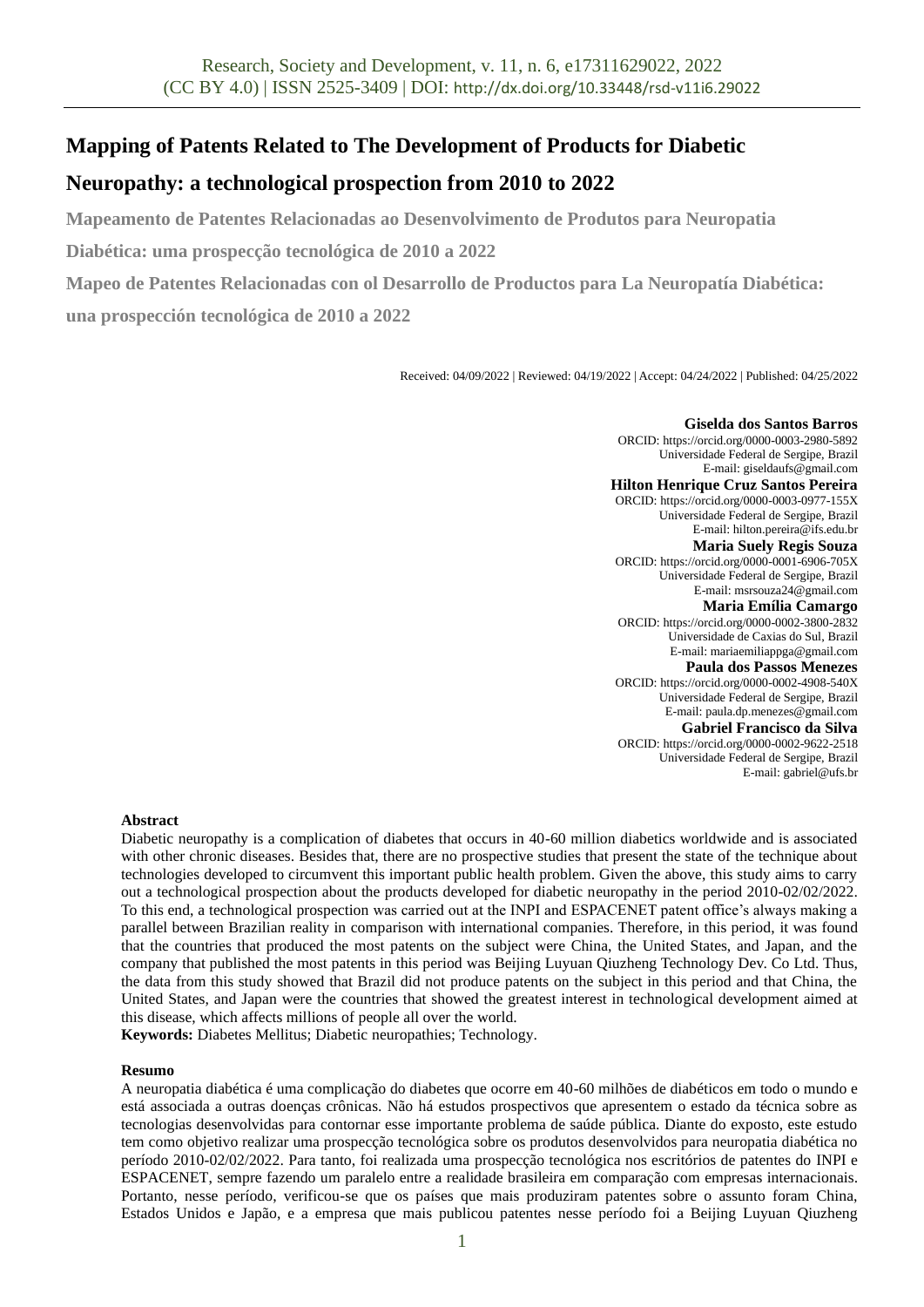# **Mapping of Patents Related to The Development of Products for Diabetic**

# **Neuropathy: a technological prospection from 2010 to 2022**

**Mapeamento de Patentes Relacionadas ao Desenvolvimento de Produtos para Neuropatia** 

**Diabética: uma prospecção tecnológica de 2010 a 2022**

**Mapeo de Patentes Relacionadas con ol Desarrollo de Productos para La Neuropatía Diabética: una prospección tecnológica de 2010 a 2022**

Received: 04/09/2022 | Reviewed: 04/19/2022 | Accept: 04/24/2022 | Published: 04/25/2022

**Giselda dos Santos Barros** ORCID: https://orcid.org/0000-0003-2980-5892 Universidade Federal de Sergipe, Brazil E-mail: giseldaufs@gmail.com **Hilton Henrique Cruz Santos Pereira** ORCID: https://orcid.org/0000-0003-0977-155X Universidade Federal de Sergipe, Brazil E-mail: hilton.pereira@ifs.edu.br **Maria Suely Regis Souza** ORCID: https://orcid.org/0000-0001-6906-705X Universidade Federal de Sergipe, Brazil E-mail: msrsouza24@gmail.com **Maria Emília Camargo** ORCID: https://orcid.org/0000-0002-3800-2832 Universidade de Caxias do Sul, Brazil E-mail: mariaemiliappga@gmail.com **Paula dos Passos Menezes** ORCID: https://orcid.org/0000-0002-4908-540X Universidade Federal de Sergipe, Brazil E-mail: paula.dp.menezes@gmail.com **Gabriel Francisco da Silva** ORCID: https://orcid.org/0000-0002-9622-2518 Universidade Federal de Sergipe, Brazil E-mail: gabriel@ufs.br

## **Abstract**

Diabetic neuropathy is a complication of diabetes that occurs in 40-60 million diabetics worldwide and is associated with other chronic diseases. Besides that, there are no prospective studies that present the state of the technique about technologies developed to circumvent this important public health problem. Given the above, this study aims to carry out a technological prospection about the products developed for diabetic neuropathy in the period 2010-02/02/2022. To this end, a technological prospection was carried out at the INPI and ESPACENET patent office's always making a parallel between Brazilian reality in comparison with international companies. Therefore, in this period, it was found that the countries that produced the most patents on the subject were China, the United States, and Japan, and the company that published the most patents in this period was Beijing Luyuan Qiuzheng Technology Dev. Co Ltd. Thus, the data from this study showed that Brazil did not produce patents on the subject in this period and that China, the United States, and Japan were the countries that showed the greatest interest in technological development aimed at this disease, which affects millions of people all over the world.

**Keywords:** Diabetes Mellitus; Diabetic neuropathies; Technology.

## **Resumo**

A neuropatia diabética é uma complicação do diabetes que ocorre em 40-60 milhões de diabéticos em todo o mundo e está associada a outras doenças crônicas. Não há estudos prospectivos que apresentem o estado da técnica sobre as tecnologias desenvolvidas para contornar esse importante problema de saúde pública. Diante do exposto, este estudo tem como objetivo realizar uma prospecção tecnológica sobre os produtos desenvolvidos para neuropatia diabética no período 2010-02/02/2022. Para tanto, foi realizada uma prospecção tecnológica nos escritórios de patentes do INPI e ESPACENET, sempre fazendo um paralelo entre a realidade brasileira em comparação com empresas internacionais. Portanto, nesse período, verificou-se que os países que mais produziram patentes sobre o assunto foram China, Estados Unidos e Japão, e a empresa que mais publicou patentes nesse período foi a Beijing Luyuan Qiuzheng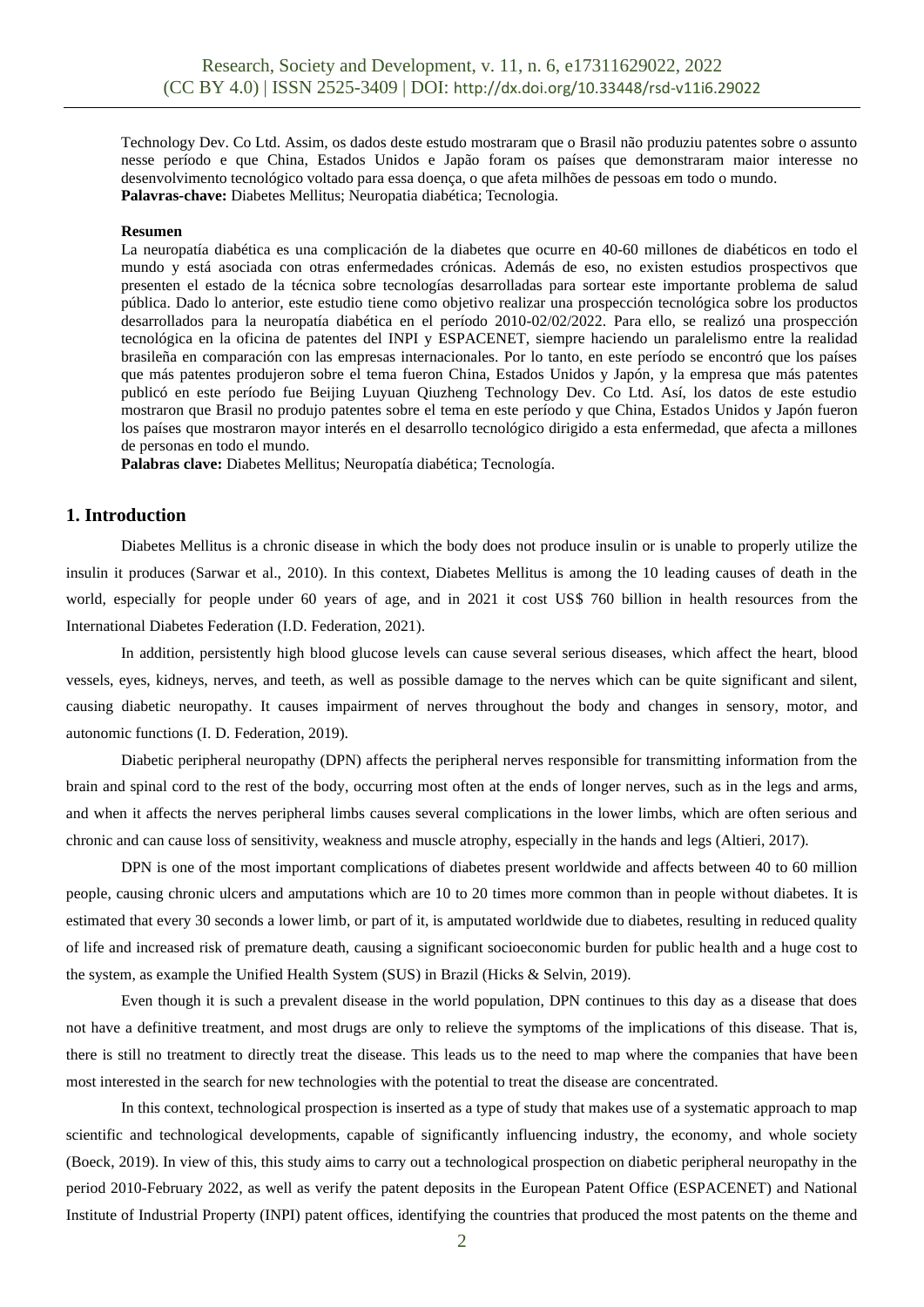Technology Dev. Co Ltd. Assim, os dados deste estudo mostraram que o Brasil não produziu patentes sobre o assunto nesse período e que China, Estados Unidos e Japão foram os países que demonstraram maior interesse no desenvolvimento tecnológico voltado para essa doença, o que afeta milhões de pessoas em todo o mundo. **Palavras-chave:** Diabetes Mellitus; Neuropatia diabética; Tecnologia.

#### **Resumen**

La neuropatía diabética es una complicación de la diabetes que ocurre en 40-60 millones de diabéticos en todo el mundo y está asociada con otras enfermedades crónicas. Además de eso, no existen estudios prospectivos que presenten el estado de la técnica sobre tecnologías desarrolladas para sortear este importante problema de salud pública. Dado lo anterior, este estudio tiene como objetivo realizar una prospección tecnológica sobre los productos desarrollados para la neuropatía diabética en el período 2010-02/02/2022. Para ello, se realizó una prospección tecnológica en la oficina de patentes del INPI y ESPACENET, siempre haciendo un paralelismo entre la realidad brasileña en comparación con las empresas internacionales. Por lo tanto, en este período se encontró que los países que más patentes produjeron sobre el tema fueron China, Estados Unidos y Japón, y la empresa que más patentes publicó en este período fue Beijing Luyuan Qiuzheng Technology Dev. Co Ltd. Así, los datos de este estudio mostraron que Brasil no produjo patentes sobre el tema en este período y que China, Estados Unidos y Japón fueron los países que mostraron mayor interés en el desarrollo tecnológico dirigido a esta enfermedad, que afecta a millones de personas en todo el mundo.

**Palabras clave:** Diabetes Mellitus; Neuropatía diabética; Tecnología.

# **1. Introduction**

Diabetes Mellitus is a chronic disease in which the body does not produce insulin or is unable to properly utilize the insulin it produces (Sarwar et al., 2010). In this context, Diabetes Mellitus is among the 10 leading causes of death in the world, especially for people under 60 years of age, and in 2021 it cost US\$ 760 billion in health resources from the International Diabetes Federation (I.D. Federation, 2021).

In addition, persistently high blood glucose levels can cause several serious diseases, which affect the heart, blood vessels, eyes, kidneys, nerves, and teeth, as well as possible damage to the nerves which can be quite significant and silent, causing diabetic neuropathy. It causes impairment of nerves throughout the body and changes in sensory, motor, and autonomic functions (I. D. Federation, 2019).

Diabetic peripheral neuropathy (DPN) affects the peripheral nerves responsible for transmitting information from the brain and spinal cord to the rest of the body, occurring most often at the ends of longer nerves, such as in the legs and arms, and when it affects the nerves peripheral limbs causes several complications in the lower limbs, which are often serious and chronic and can cause loss of sensitivity, weakness and muscle atrophy, especially in the hands and legs (Altieri, 2017).

DPN is one of the most important complications of diabetes present worldwide and affects between 40 to 60 million people, causing chronic ulcers and amputations which are 10 to 20 times more common than in people without diabetes. It is estimated that every 30 seconds a lower limb, or part of it, is amputated worldwide due to diabetes, resulting in reduced quality of life and increased risk of premature death, causing a significant socioeconomic burden for public health and a huge cost to the system, as example the Unified Health System (SUS) in Brazil (Hicks & Selvin, 2019).

Even though it is such a prevalent disease in the world population, DPN continues to this day as a disease that does not have a definitive treatment, and most drugs are only to relieve the symptoms of the implications of this disease. That is, there is still no treatment to directly treat the disease. This leads us to the need to map where the companies that have been most interested in the search for new technologies with the potential to treat the disease are concentrated.

In this context, technological prospection is inserted as a type of study that makes use of a systematic approach to map scientific and technological developments, capable of significantly influencing industry, the economy, and whole society (Boeck, 2019). In view of this, this study aims to carry out a technological prospection on diabetic peripheral neuropathy in the period 2010-February 2022, as well as verify the patent deposits in the European Patent Office (ESPACENET) and National Institute of Industrial Property (INPI) patent offices, identifying the countries that produced the most patents on the theme and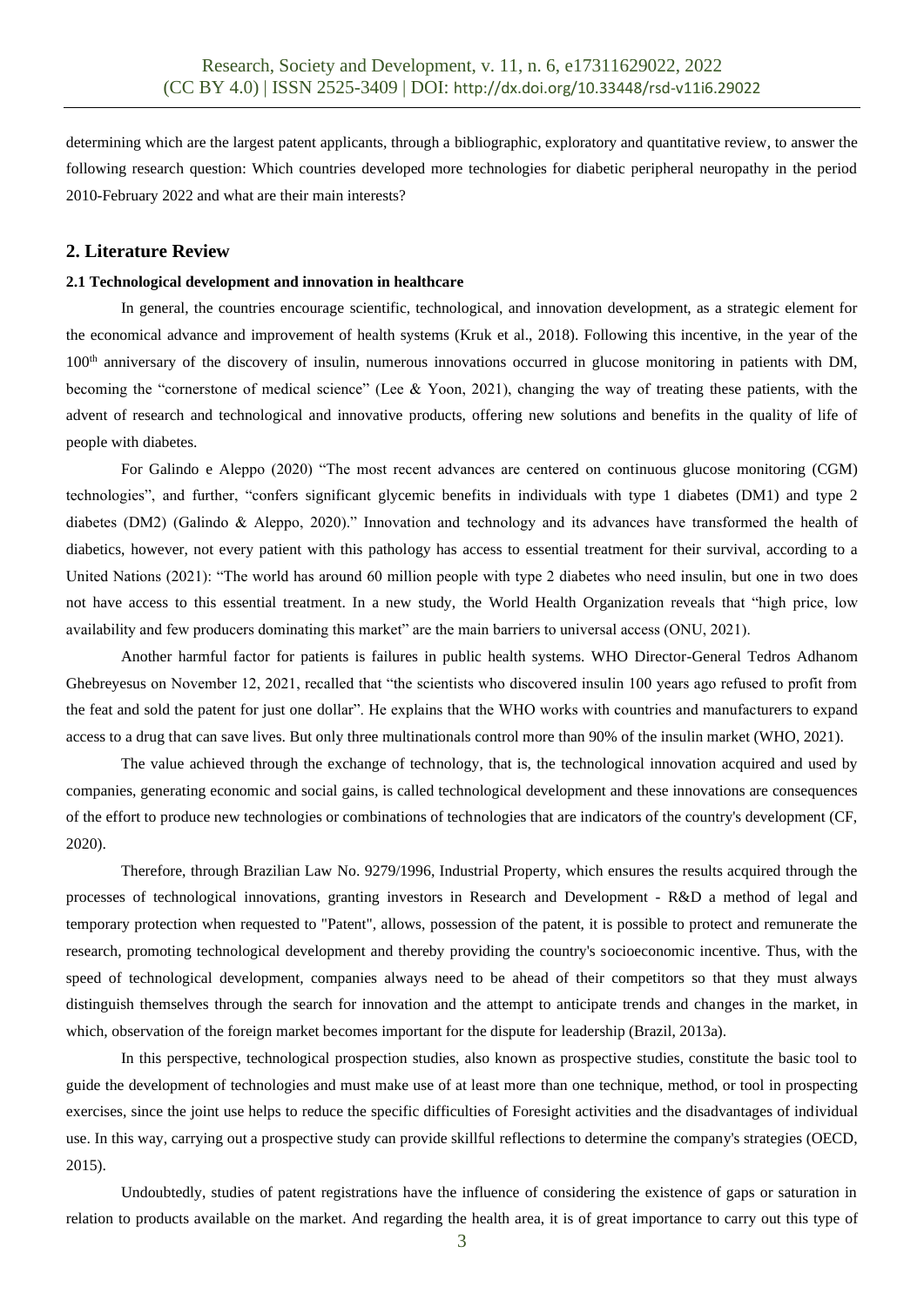determining which are the largest patent applicants, through a bibliographic, exploratory and quantitative review, to answer the following research question: Which countries developed more technologies for diabetic peripheral neuropathy in the period 2010-February 2022 and what are their main interests?

## **2. Literature Review**

## **2.1 Technological development and innovation in healthcare**

In general, the countries encourage scientific, technological, and innovation development, as a strategic element for the economical advance and improvement of health systems (Kruk et al., 2018). Following this incentive, in the year of the 100<sup>th</sup> anniversary of the discovery of insulin, numerous innovations occurred in glucose monitoring in patients with DM, becoming the "cornerstone of medical science" (Lee & Yoon, 2021), changing the way of treating these patients, with the advent of research and technological and innovative products, offering new solutions and benefits in the quality of life of people with diabetes.

For Galindo e Aleppo (2020) "The most recent advances are centered on continuous glucose monitoring (CGM) technologies", and further, "confers significant glycemic benefits in individuals with type 1 diabetes (DM1) and type 2 diabetes (DM2) (Galindo & Aleppo, 2020)." Innovation and technology and its advances have transformed the health of diabetics, however, not every patient with this pathology has access to essential treatment for their survival, according to a United Nations (2021): "The world has around 60 million people with type 2 diabetes who need insulin, but one in two does not have access to this essential treatment. In a new study, the World Health Organization reveals that "high price, low availability and few producers dominating this market" are the main barriers to universal access (ONU, 2021).

Another harmful factor for patients is failures in public health systems. WHO Director-General Tedros Adhanom Ghebreyesus on November 12, 2021, recalled that "the scientists who discovered insulin 100 years ago refused to profit from the feat and sold the patent for just one dollar". He explains that the WHO works with countries and manufacturers to expand access to a drug that can save lives. But only three multinationals control more than 90% of the insulin market (WHO, 2021).

The value achieved through the exchange of technology, that is, the technological innovation acquired and used by companies, generating economic and social gains, is called technological development and these innovations are consequences of the effort to produce new technologies or combinations of technologies that are indicators of the country's development (CF, 2020).

Therefore, through Brazilian Law No. 9279/1996, Industrial Property, which ensures the results acquired through the processes of technological innovations, granting investors in Research and Development - R&D a method of legal and temporary protection when requested to "Patent", allows, possession of the patent, it is possible to protect and remunerate the research, promoting technological development and thereby providing the country's socioeconomic incentive. Thus, with the speed of technological development, companies always need to be ahead of their competitors so that they must always distinguish themselves through the search for innovation and the attempt to anticipate trends and changes in the market, in which, observation of the foreign market becomes important for the dispute for leadership (Brazil, 2013a).

In this perspective, technological prospection studies, also known as prospective studies, constitute the basic tool to guide the development of technologies and must make use of at least more than one technique, method, or tool in prospecting exercises, since the joint use helps to reduce the specific difficulties of Foresight activities and the disadvantages of individual use. In this way, carrying out a prospective study can provide skillful reflections to determine the company's strategies (OECD, 2015).

Undoubtedly, studies of patent registrations have the influence of considering the existence of gaps or saturation in relation to products available on the market. And regarding the health area, it is of great importance to carry out this type of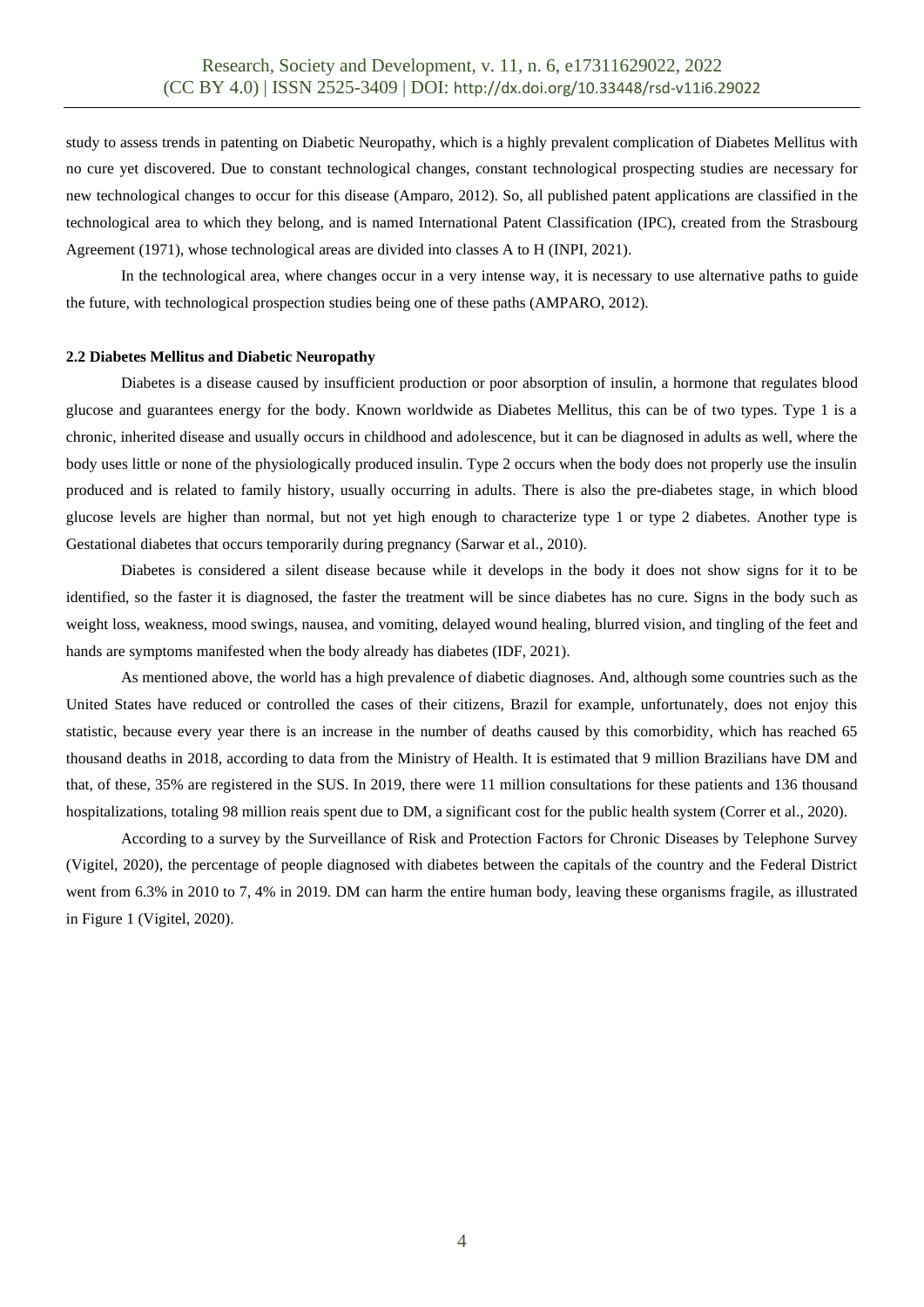study to assess trends in patenting on Diabetic Neuropathy, which is a highly prevalent complication of Diabetes Mellitus with no cure yet discovered. Due to constant technological changes, constant technological prospecting studies are necessary for new technological changes to occur for this disease (Amparo, 2012). So, all published patent applications are classified in the technological area to which they belong, and is named International Patent Classification (IPC), created from the Strasbourg Agreement (1971), whose technological areas are divided into classes A to H (INPI, 2021).

In the technological area, where changes occur in a very intense way, it is necessary to use alternative paths to guide the future, with technological prospection studies being one of these paths (AMPARO, 2012).

#### **2.2 Diabetes Mellitus and Diabetic Neuropathy**

Diabetes is a disease caused by insufficient production or poor absorption of insulin, a hormone that regulates blood glucose and guarantees energy for the body. Known worldwide as Diabetes Mellitus, this can be of two types. Type 1 is a chronic, inherited disease and usually occurs in childhood and adolescence, but it can be diagnosed in adults as well, where the body uses little or none of the physiologically produced insulin. Type 2 occurs when the body does not properly use the insulin produced and is related to family history, usually occurring in adults. There is also the pre-diabetes stage, in which blood glucose levels are higher than normal, but not yet high enough to characterize type 1 or type 2 diabetes. Another type is Gestational diabetes that occurs temporarily during pregnancy (Sarwar et al., 2010).

Diabetes is considered a silent disease because while it develops in the body it does not show signs for it to be identified, so the faster it is diagnosed, the faster the treatment will be since diabetes has no cure. Signs in the body such as weight loss, weakness, mood swings, nausea, and vomiting, delayed wound healing, blurred vision, and tingling of the feet and hands are symptoms manifested when the body already has diabetes (IDF, 2021).

As mentioned above, the world has a high prevalence of diabetic diagnoses. And, although some countries such as the United States have reduced or controlled the cases of their citizens, Brazil for example, unfortunately, does not enjoy this statistic, because every year there is an increase in the number of deaths caused by this comorbidity, which has reached 65 thousand deaths in 2018, according to data from the Ministry of Health. It is estimated that 9 million Brazilians have DM and that, of these, 35% are registered in the SUS. In 2019, there were 11 million consultations for these patients and 136 thousand hospitalizations, totaling 98 million reais spent due to DM, a significant cost for the public health system (Correr et al., 2020).

According to a survey by the Surveillance of Risk and Protection Factors for Chronic Diseases by Telephone Survey (Vigitel, 2020), the percentage of people diagnosed with diabetes between the capitals of the country and the Federal District went from 6.3% in 2010 to 7, 4% in 2019. DM can harm the entire human body, leaving these organisms fragile, as illustrated in Figure 1 (Vigitel, 2020).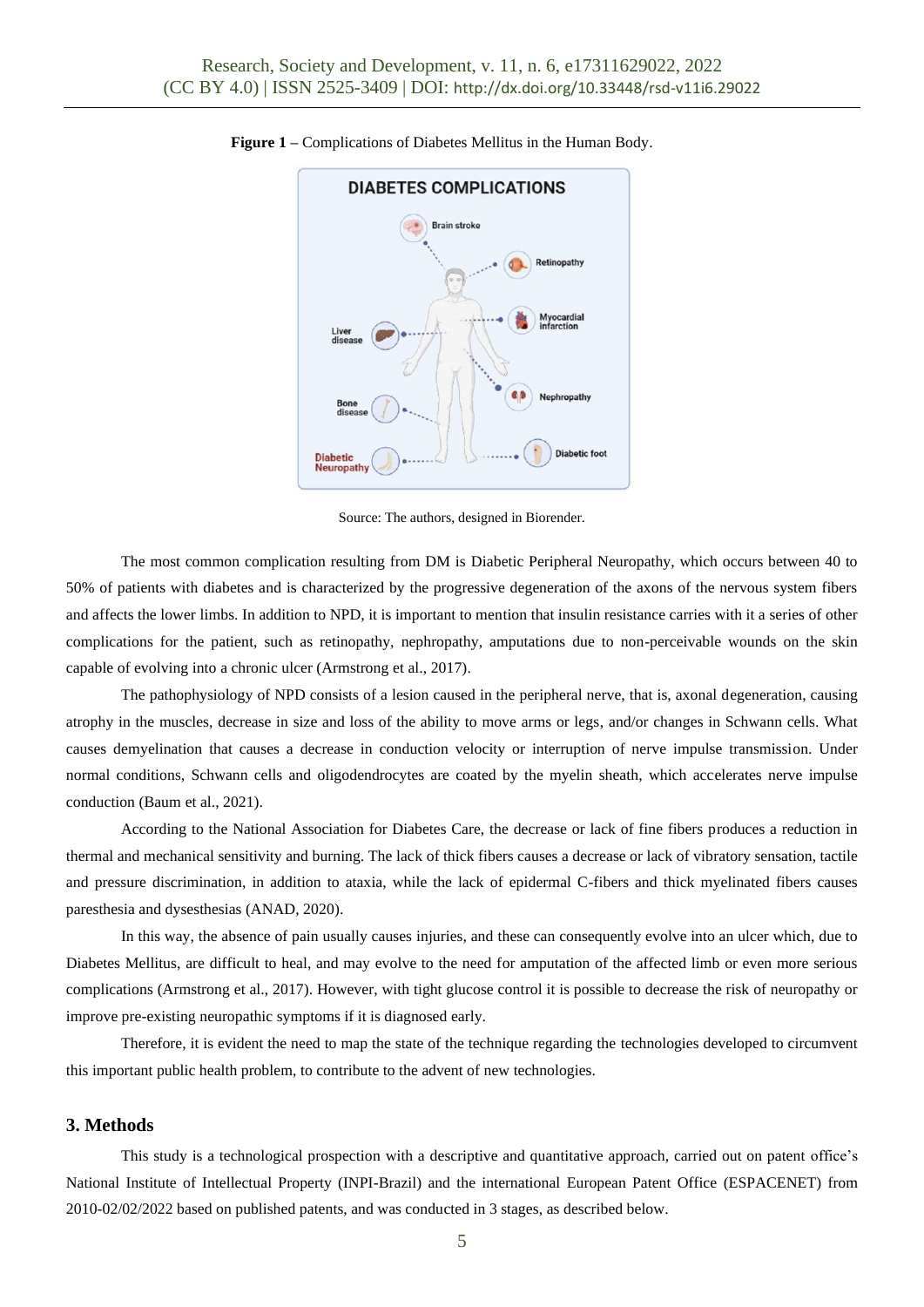

## **Figure 1 –** Complications of Diabetes Mellitus in the Human Body.

Source: The authors, designed in Biorender.

The most common complication resulting from DM is Diabetic Peripheral Neuropathy, which occurs between 40 to 50% of patients with diabetes and is characterized by the progressive degeneration of the axons of the nervous system fibers and affects the lower limbs. In addition to NPD, it is important to mention that insulin resistance carries with it a series of other complications for the patient, such as retinopathy, nephropathy, amputations due to non-perceivable wounds on the skin capable of evolving into a chronic ulcer (Armstrong et al., 2017).

The pathophysiology of NPD consists of a lesion caused in the peripheral nerve, that is, axonal degeneration, causing atrophy in the muscles, decrease in size and loss of the ability to move arms or legs, and/or changes in Schwann cells. What causes demyelination that causes a decrease in conduction velocity or interruption of nerve impulse transmission. Under normal conditions, Schwann cells and oligodendrocytes are coated by the myelin sheath, which accelerates nerve impulse conduction (Baum et al., 2021).

According to the National Association for Diabetes Care, the decrease or lack of fine fibers produces a reduction in thermal and mechanical sensitivity and burning. The lack of thick fibers causes a decrease or lack of vibratory sensation, tactile and pressure discrimination, in addition to ataxia, while the lack of epidermal C-fibers and thick myelinated fibers causes paresthesia and dysesthesias (ANAD, 2020).

In this way, the absence of pain usually causes injuries, and these can consequently evolve into an ulcer which, due to Diabetes Mellitus, are difficult to heal, and may evolve to the need for amputation of the affected limb or even more serious complications (Armstrong et al., 2017). However, with tight glucose control it is possible to decrease the risk of neuropathy or improve pre-existing neuropathic symptoms if it is diagnosed early.

Therefore, it is evident the need to map the state of the technique regarding the technologies developed to circumvent this important public health problem, to contribute to the advent of new technologies.

# **3. Methods**

This study is a technological prospection with a descriptive and quantitative approach, carried out on patent office's National Institute of Intellectual Property (INPI-Brazil) and the international European Patent Office (ESPACENET) from 2010-02/02/2022 based on published patents, and was conducted in 3 stages, as described below.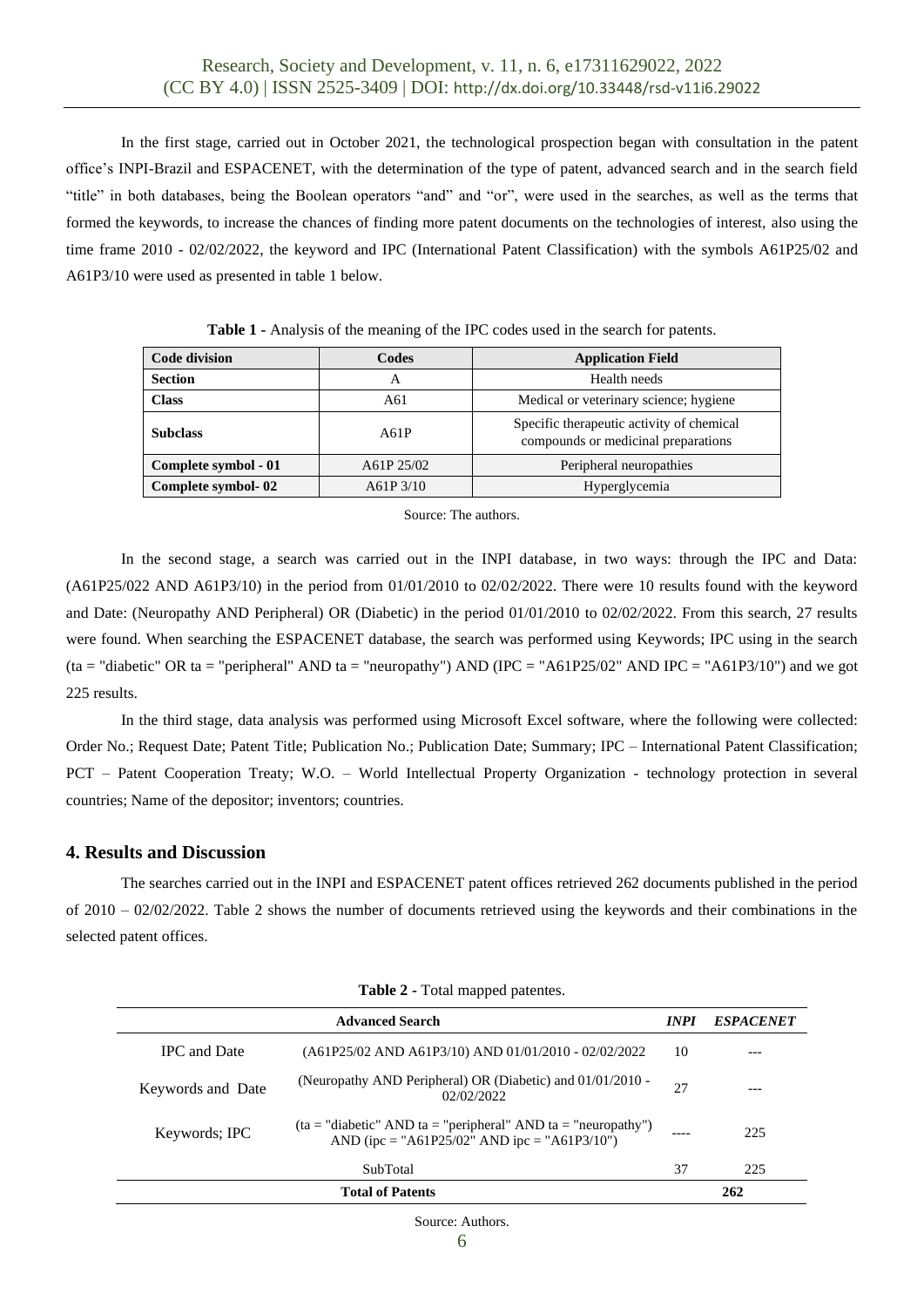In the first stage, carried out in October 2021, the technological prospection began with consultation in the patent office's INPI-Brazil and ESPACENET, with the determination of the type of patent, advanced search and in the search field "title" in both databases, being the Boolean operators "and" and "or", were used in the searches, as well as the terms that formed the keywords, to increase the chances of finding more patent documents on the technologies of interest, also using the time frame 2010 - 02/02/2022, the keyword and IPC (International Patent Classification) with the symbols A61P25/02 and A61P3/10 were used as presented in table 1 below.

| <b>Code division</b> | Codes      | <b>Application Field</b>                                                         |
|----------------------|------------|----------------------------------------------------------------------------------|
| <b>Section</b>       | А          | Health needs                                                                     |
| <b>Class</b>         | A61        | Medical or veterinary science; hygiene                                           |
| <b>Subclass</b>      | A61P       | Specific therapeutic activity of chemical<br>compounds or medicinal preparations |
| Complete symbol - 01 | A61P 25/02 | Peripheral neuropathies                                                          |
| Complete symbol-02   | A61P3/10   | Hyperglycemia                                                                    |

**Table 1 -** Analysis of the meaning of the IPC codes used in the search for patents.

Source: The authors.

In the second stage, a search was carried out in the INPI database, in two ways: through the IPC and Data: (A61P25/022 AND A61P3/10) in the period from 01/01/2010 to 02/02/2022. There were 10 results found with the keyword and Date: (Neuropathy AND Peripheral) OR (Diabetic) in the period 01/01/2010 to 02/02/2022. From this search, 27 results were found. When searching the ESPACENET database, the search was performed using Keywords; IPC using in the search (ta = "diabetic" OR ta = "peripheral" AND ta = "neuropathy") AND (IPC = "A61P25/02" AND IPC = "A61P3/10") and we got 225 results.

In the third stage, data analysis was performed using Microsoft Excel software, where the following were collected: Order No.; Request Date; Patent Title; Publication No.; Publication Date; Summary; IPC – International Patent Classification; PCT – Patent Cooperation Treaty; W.O. – World Intellectual Property Organization - technology protection in several countries; Name of the depositor; inventors; countries.

# **4. Results and Discussion**

The searches carried out in the INPI and ESPACENET patent offices retrieved 262 documents published in the period of  $2010 - 02/02/2022$ . Table 2 shows the number of documents retrieved using the keywords and their combinations in the selected patent offices.

|                     | <b>Advanced Search</b>                                                                                          | <i>INPI</i> | <b>ESPACENET</b> |
|---------------------|-----------------------------------------------------------------------------------------------------------------|-------------|------------------|
| <b>IPC</b> and Date | $(A61P25/02$ AND A61P3/10) AND 01/01/2010 - 02/02/2022                                                          | 10          |                  |
| Keywords and Date   | (Neuropathy AND Peripheral) OR (Diabetic) and 01/01/2010 -<br>02/02/2022                                        | 27          |                  |
| Keywords; IPC       | $(ta = "diabetic" AND ta = "peripheral" AND ta = "neuropathy")$<br>AND (ipc = "A61P25/02" AND ipc = "A61P3/10") |             | 225              |
|                     | SubTotal                                                                                                        | 37          | 225              |
|                     | <b>Total of Patents</b>                                                                                         |             | 262              |

**Table 2 -** Total mapped patentes.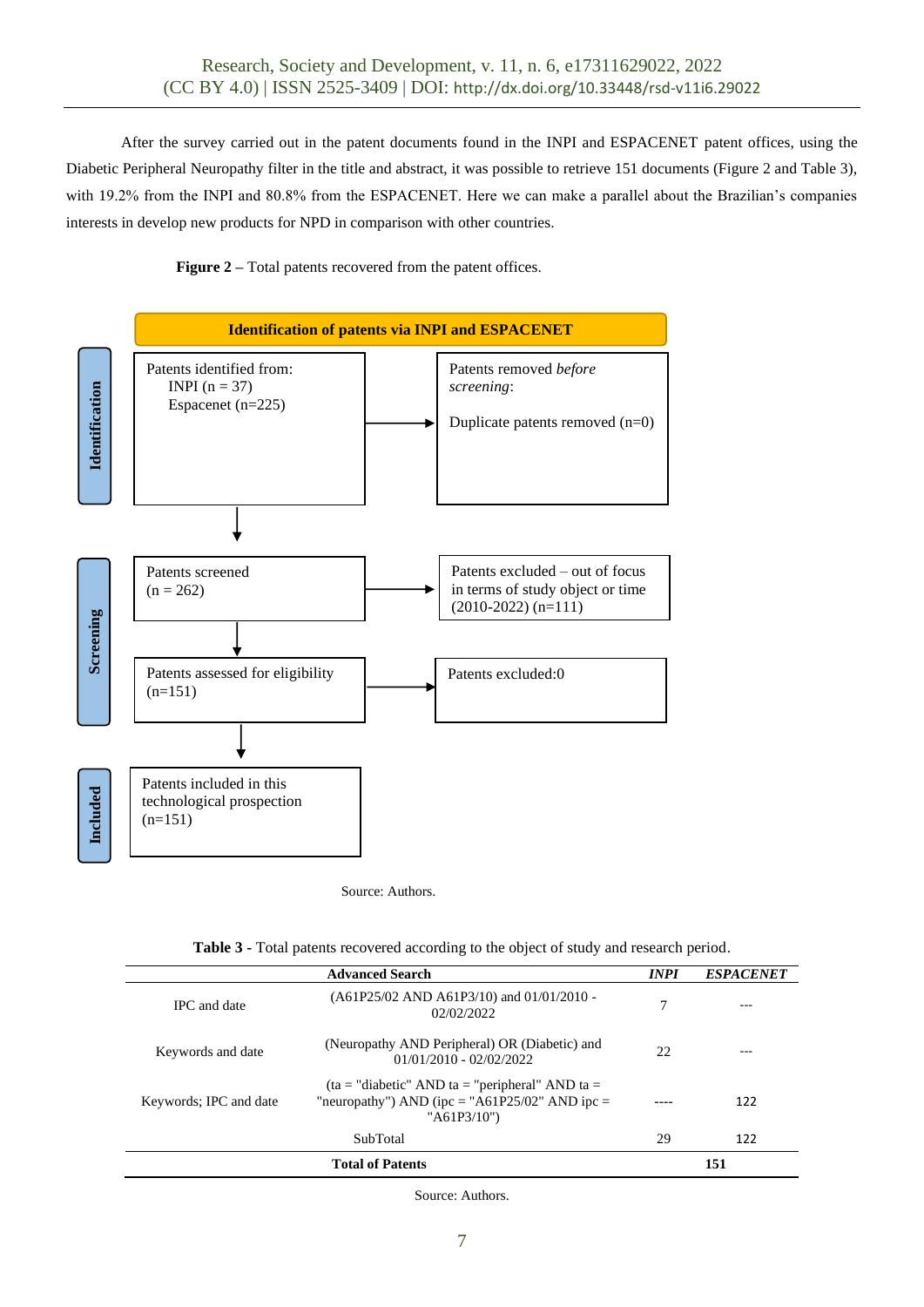After the survey carried out in the patent documents found in the INPI and ESPACENET patent offices, using the Diabetic Peripheral Neuropathy filter in the title and abstract, it was possible to retrieve 151 documents (Figure 2 and Table 3), with 19.2% from the INPI and 80.8% from the ESPACENET. Here we can make a parallel about the Brazilian's companies interests in develop new products for NPD in comparison with other countries.

**Figure 2** – Total patents recovered from the patent offices.



Source: Authors.

| Table 3 - Total patents recovered according to the object of study and research period. |  |  |  |
|-----------------------------------------------------------------------------------------|--|--|--|
|-----------------------------------------------------------------------------------------|--|--|--|

|                        | <b>Advanced Search</b>                                                                                                | <b>INPI</b> | <b>ESPACENET</b> |
|------------------------|-----------------------------------------------------------------------------------------------------------------------|-------------|------------------|
| <b>IPC</b> and date    | $(A61P25/02$ AND A61P3/10) and 01/01/2010 -<br>02/02/2022                                                             | 7           |                  |
| Keywords and date      | (Neuropathy AND Peripheral) OR (Diabetic) and<br>$01/01/2010 - 02/02/2022$                                            | 22          |                  |
| Keywords; IPC and date | $(ta = "diabetic" AND ta = "peripheral" AND ta =$<br>"neuropathy") AND (ipc = "A61P25/02" AND ipc =<br>" $A61P3/10$ " |             | 122              |
|                        | SubTotal                                                                                                              | 29          | 122              |
|                        | <b>Total of Patents</b>                                                                                               |             | 151              |

Source: Authors.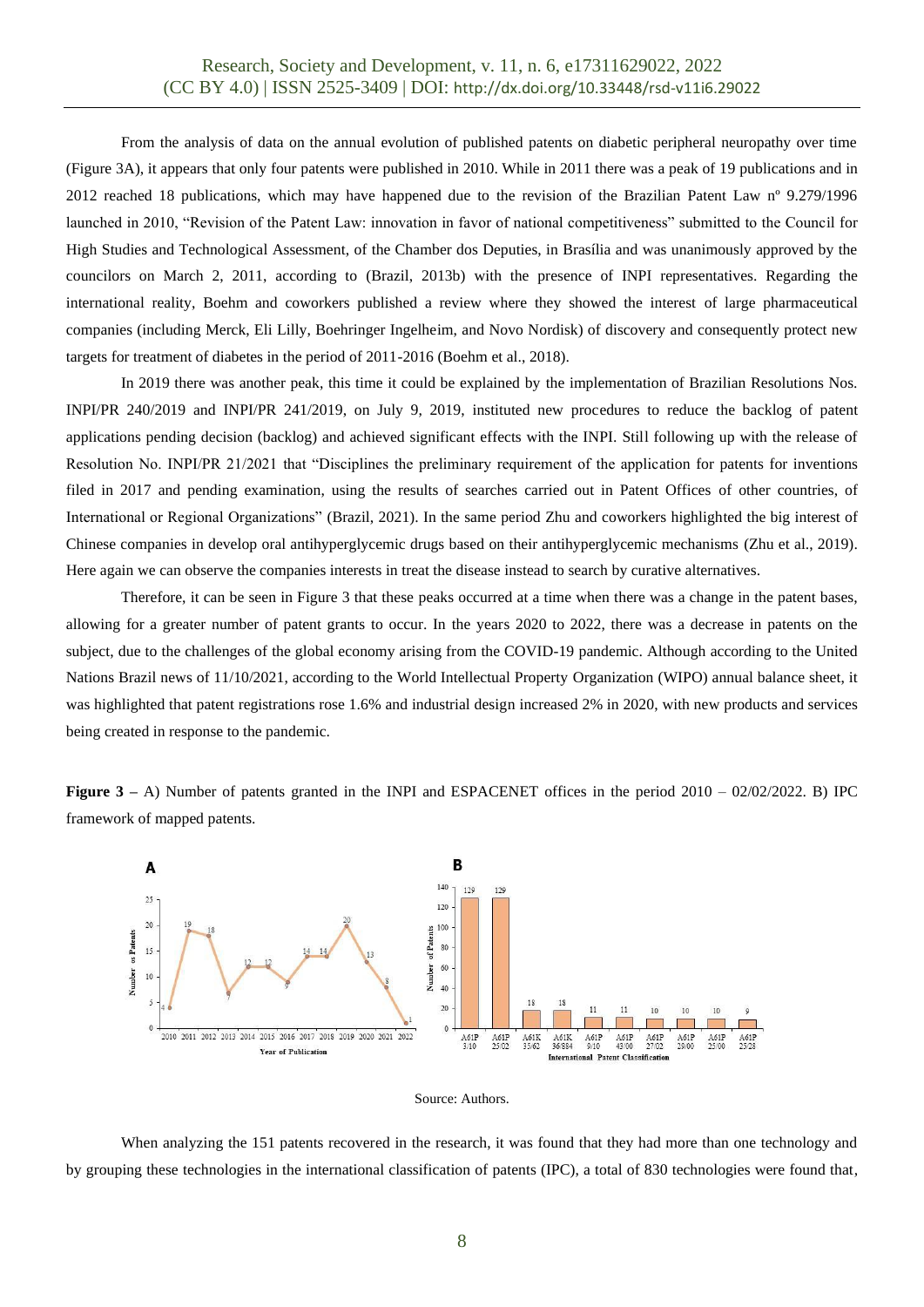From the analysis of data on the annual evolution of published patents on diabetic peripheral neuropathy over time (Figure 3A), it appears that only four patents were published in 2010. While in 2011 there was a peak of 19 publications and in 2012 reached 18 publications, which may have happened due to the revision of the Brazilian Patent Law nº 9.279/1996 launched in 2010, "Revision of the Patent Law: innovation in favor of national competitiveness" submitted to the Council for High Studies and Technological Assessment, of the Chamber dos Deputies, in Brasília and was unanimously approved by the councilors on March 2, 2011, according to (Brazil, 2013b) with the presence of INPI representatives. Regarding the international reality, Boehm and coworkers published a review where they showed the interest of large pharmaceutical companies (including Merck, Eli Lilly, Boehringer Ingelheim, and Novo Nordisk) of discovery and consequently protect new targets for treatment of diabetes in the period of 2011-2016 (Boehm et al., 2018).

In 2019 there was another peak, this time it could be explained by the implementation of Brazilian Resolutions Nos. INPI/PR 240/2019 and INPI/PR 241/2019, on July 9, 2019, instituted new procedures to reduce the backlog of patent applications pending decision (backlog) and achieved significant effects with the INPI. Still following up with the release of Resolution No. INPI/PR 21/2021 that "Disciplines the preliminary requirement of the application for patents for inventions filed in 2017 and pending examination, using the results of searches carried out in Patent Offices of other countries, of International or Regional Organizations" (Brazil, 2021). In the same period Zhu and coworkers highlighted the big interest of Chinese companies in develop oral antihyperglycemic drugs based on their antihyperglycemic mechanisms (Zhu et al., 2019). Here again we can observe the companies interests in treat the disease instead to search by curative alternatives.

Therefore, it can be seen in Figure 3 that these peaks occurred at a time when there was a change in the patent bases, allowing for a greater number of patent grants to occur. In the years 2020 to 2022, there was a decrease in patents on the subject, due to the challenges of the global economy arising from the COVID-19 pandemic. Although according to the United Nations Brazil news of 11/10/2021, according to the World Intellectual Property Organization (WIPO) annual balance sheet, it was highlighted that patent registrations rose 1.6% and industrial design increased 2% in 2020, with new products and services being created in response to the pandemic.

**Figure 3** – A) Number of patents granted in the INPI and ESPACENET offices in the period  $2010 - 02/02/2022$ . B) IPC framework of mapped patents.





When analyzing the 151 patents recovered in the research, it was found that they had more than one technology and by grouping these technologies in the international classification of patents (IPC), a total of 830 technologies were found that,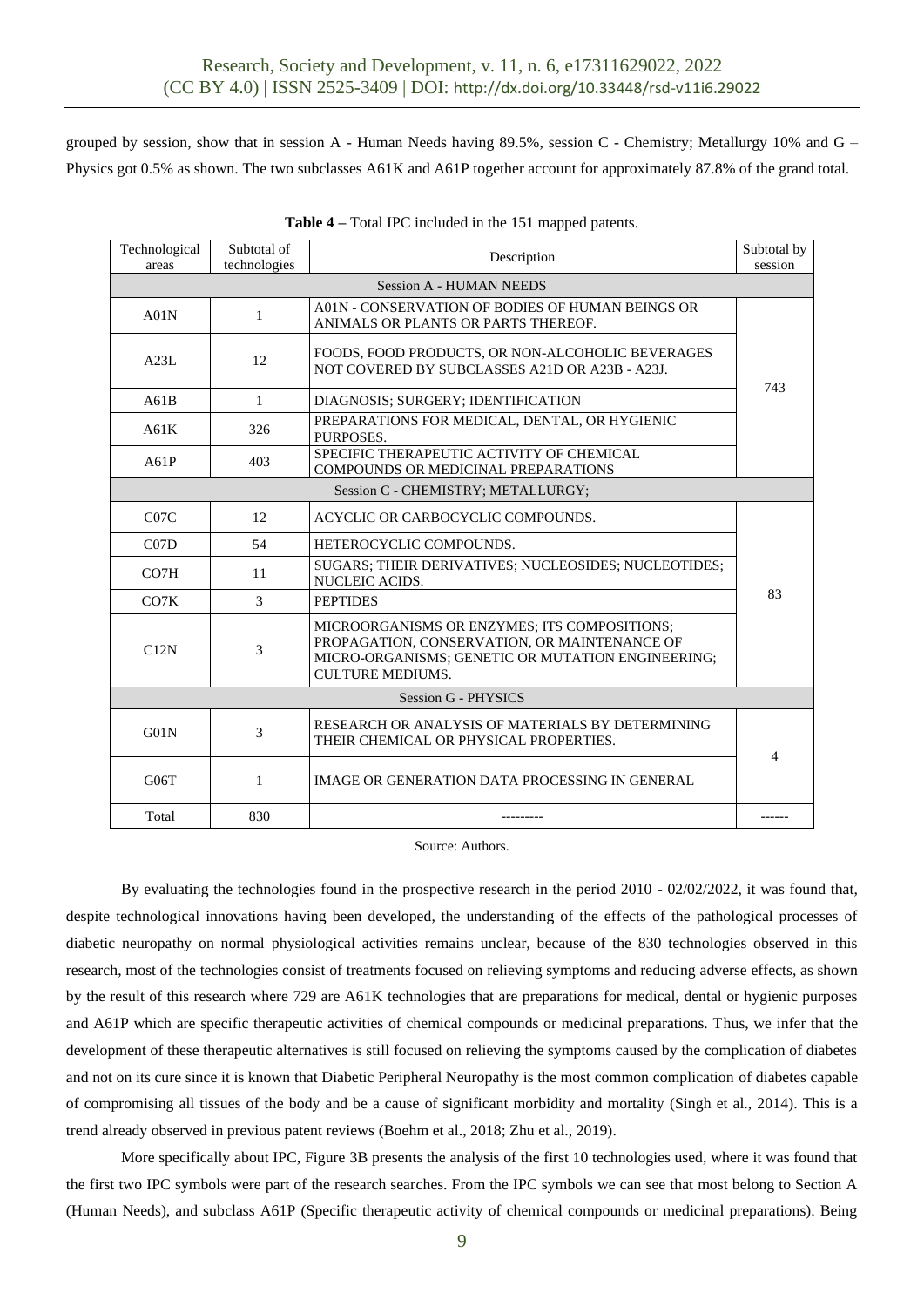grouped by session, show that in session A - Human Needs having 89.5%, session C - Chemistry; Metallurgy 10% and  $G -$ Physics got 0.5% as shown. The two subclasses A61K and A61P together account for approximately 87.8% of the grand total.

| Technological<br>areas | Subtotal of<br>technologies | Description                                                                                                                                                                  | Subtotal by<br>session |
|------------------------|-----------------------------|------------------------------------------------------------------------------------------------------------------------------------------------------------------------------|------------------------|
|                        |                             | <b>Session A - HUMAN NEEDS</b>                                                                                                                                               |                        |
| A01N                   | 1                           | A01N - CONSERVATION OF BODIES OF HUMAN BEINGS OR<br>ANIMALS OR PLANTS OR PARTS THEREOF.                                                                                      |                        |
| A23L                   | 12                          | FOODS, FOOD PRODUCTS, OR NON-ALCOHOLIC BEVERAGES<br>NOT COVERED BY SUBCLASSES A21D OR A23B - A23J.                                                                           | 743                    |
| A61B                   | 1                           | DIAGNOSIS: SURGERY; IDENTIFICATION                                                                                                                                           |                        |
| A61K                   | 326                         | PREPARATIONS FOR MEDICAL, DENTAL, OR HYGIENIC<br>PURPOSES.                                                                                                                   |                        |
| A61P                   | 403                         | SPECIFIC THERAPEUTIC ACTIVITY OF CHEMICAL<br><b>COMPOUNDS OR MEDICINAL PREPARATIONS</b>                                                                                      |                        |
|                        |                             | Session C - CHEMISTRY; METALLURGY;                                                                                                                                           |                        |
| C07C                   | 12                          | ACYCLIC OR CARBOCYCLIC COMPOUNDS.                                                                                                                                            |                        |
| CO <sub>7D</sub>       | 54                          | HETEROCYCLIC COMPOUNDS.                                                                                                                                                      |                        |
| CO <sub>7</sub> H      | 11                          | SUGARS; THEIR DERIVATIVES; NUCLEOSIDES; NUCLEOTIDES;<br>NUCLEIC ACIDS.                                                                                                       |                        |
| CO7K                   | 3                           | <b>PEPTIDES</b>                                                                                                                                                              | 83                     |
| C12N                   | 3                           | MICROORGANISMS OR ENZYMES; ITS COMPOSITIONS;<br>PROPAGATION, CONSERVATION, OR MAINTENANCE OF<br>MICRO-ORGANISMS; GENETIC OR MUTATION ENGINEERING;<br><b>CULTURE MEDIUMS.</b> |                        |
|                        |                             | <b>Session G - PHYSICS</b>                                                                                                                                                   |                        |
| G01N                   | 3                           | RESEARCH OR ANALYSIS OF MATERIALS BY DETERMINING<br>THEIR CHEMICAL OR PHYSICAL PROPERTIES.                                                                                   | 4                      |
| G06T                   | 1                           | IMAGE OR GENERATION DATA PROCESSING IN GENERAL                                                                                                                               |                        |
| Total                  | 830                         |                                                                                                                                                                              |                        |

| Table 4 – Total IPC included in the 151 mapped patents. |
|---------------------------------------------------------|
|---------------------------------------------------------|

Source: Authors.

By evaluating the technologies found in the prospective research in the period 2010 - 02/02/2022, it was found that, despite technological innovations having been developed, the understanding of the effects of the pathological processes of diabetic neuropathy on normal physiological activities remains unclear, because of the 830 technologies observed in this research, most of the technologies consist of treatments focused on relieving symptoms and reducing adverse effects, as shown by the result of this research where 729 are A61K technologies that are preparations for medical, dental or hygienic purposes and A61P which are specific therapeutic activities of chemical compounds or medicinal preparations. Thus, we infer that the development of these therapeutic alternatives is still focused on relieving the symptoms caused by the complication of diabetes and not on its cure since it is known that Diabetic Peripheral Neuropathy is the most common complication of diabetes capable of compromising all tissues of the body and be a cause of significant morbidity and mortality (Singh et al., 2014). This is a trend already observed in previous patent reviews (Boehm et al., 2018; Zhu et al., 2019).

More specifically about IPC, Figure 3B presents the analysis of the first 10 technologies used, where it was found that the first two IPC symbols were part of the research searches. From the IPC symbols we can see that most belong to Section A (Human Needs), and subclass A61P (Specific therapeutic activity of chemical compounds or medicinal preparations). Being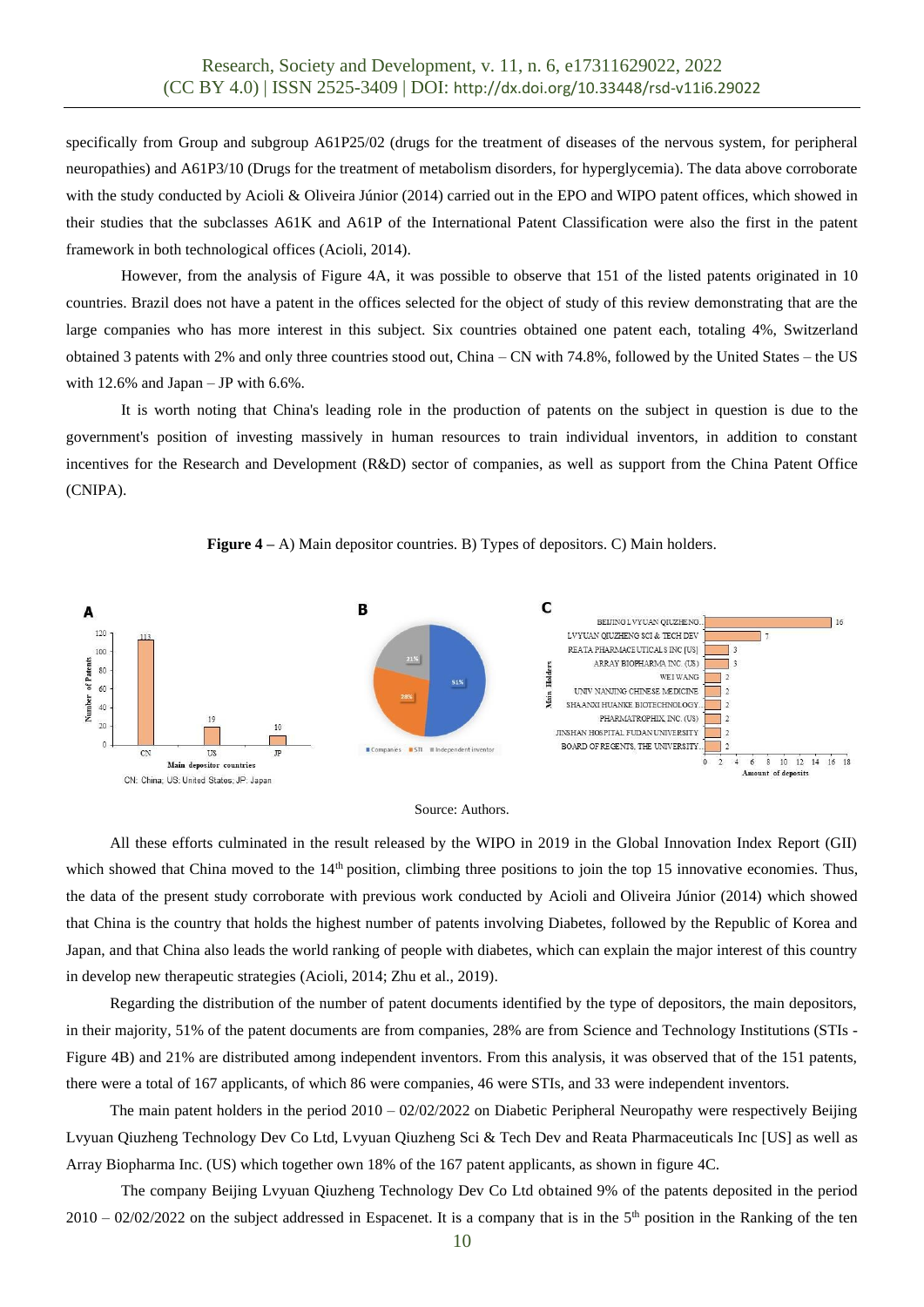specifically from Group and subgroup A61P25/02 (drugs for the treatment of diseases of the nervous system, for peripheral neuropathies) and A61P3/10 (Drugs for the treatment of metabolism disorders, for hyperglycemia). The data above corroborate with the study conducted by Acioli & Oliveira Júnior (2014) carried out in the EPO and WIPO patent offices, which showed in their studies that the subclasses A61K and A61P of the International Patent Classification were also the first in the patent framework in both technological offices (Acioli, 2014).

However, from the analysis of Figure 4A, it was possible to observe that 151 of the listed patents originated in 10 countries. Brazil does not have a patent in the offices selected for the object of study of this review demonstrating that are the large companies who has more interest in this subject. Six countries obtained one patent each, totaling 4%, Switzerland obtained 3 patents with 2% and only three countries stood out, China – CN with 74.8%, followed by the United States – the US with  $12.6\%$  and Japan – JP with  $6.6\%$ .

It is worth noting that China's leading role in the production of patents on the subject in question is due to the government's position of investing massively in human resources to train individual inventors, in addition to constant incentives for the Research and Development (R&D) sector of companies, as well as support from the China Patent Office (CNIPA).







All these efforts culminated in the result released by the WIPO in 2019 in the Global Innovation Index Report (GII) which showed that China moved to the 14<sup>th</sup> position, climbing three positions to join the top 15 innovative economies. Thus, the data of the present study corroborate with previous work conducted by Acioli and Oliveira Júnior (2014) which showed that China is the country that holds the highest number of patents involving Diabetes, followed by the Republic of Korea and Japan, and that China also leads the world ranking of people with diabetes, which can explain the major interest of this country in develop new therapeutic strategies (Acioli, 2014; Zhu et al., 2019).

Regarding the distribution of the number of patent documents identified by the type of depositors, the main depositors, in their majority, 51% of the patent documents are from companies, 28% are from Science and Technology Institutions (STIs - Figure 4B) and 21% are distributed among independent inventors. From this analysis, it was observed that of the 151 patents, there were a total of 167 applicants, of which 86 were companies, 46 were STIs, and 33 were independent inventors.

The main patent holders in the period 2010 – 02/02/2022 on Diabetic Peripheral Neuropathy were respectively Beijing Lvyuan Qiuzheng Technology Dev Co Ltd, Lvyuan Qiuzheng Sci & Tech Dev and Reata Pharmaceuticals Inc [US] as well as Array Biopharma Inc. (US) which together own 18% of the 167 patent applicants, as shown in figure 4C.

The company Beijing Lvyuan Qiuzheng Technology Dev Co Ltd obtained 9% of the patents deposited in the period  $2010 - 02/02/2022$  on the subject addressed in Espacenet. It is a company that is in the  $5<sup>th</sup>$  position in the Ranking of the ten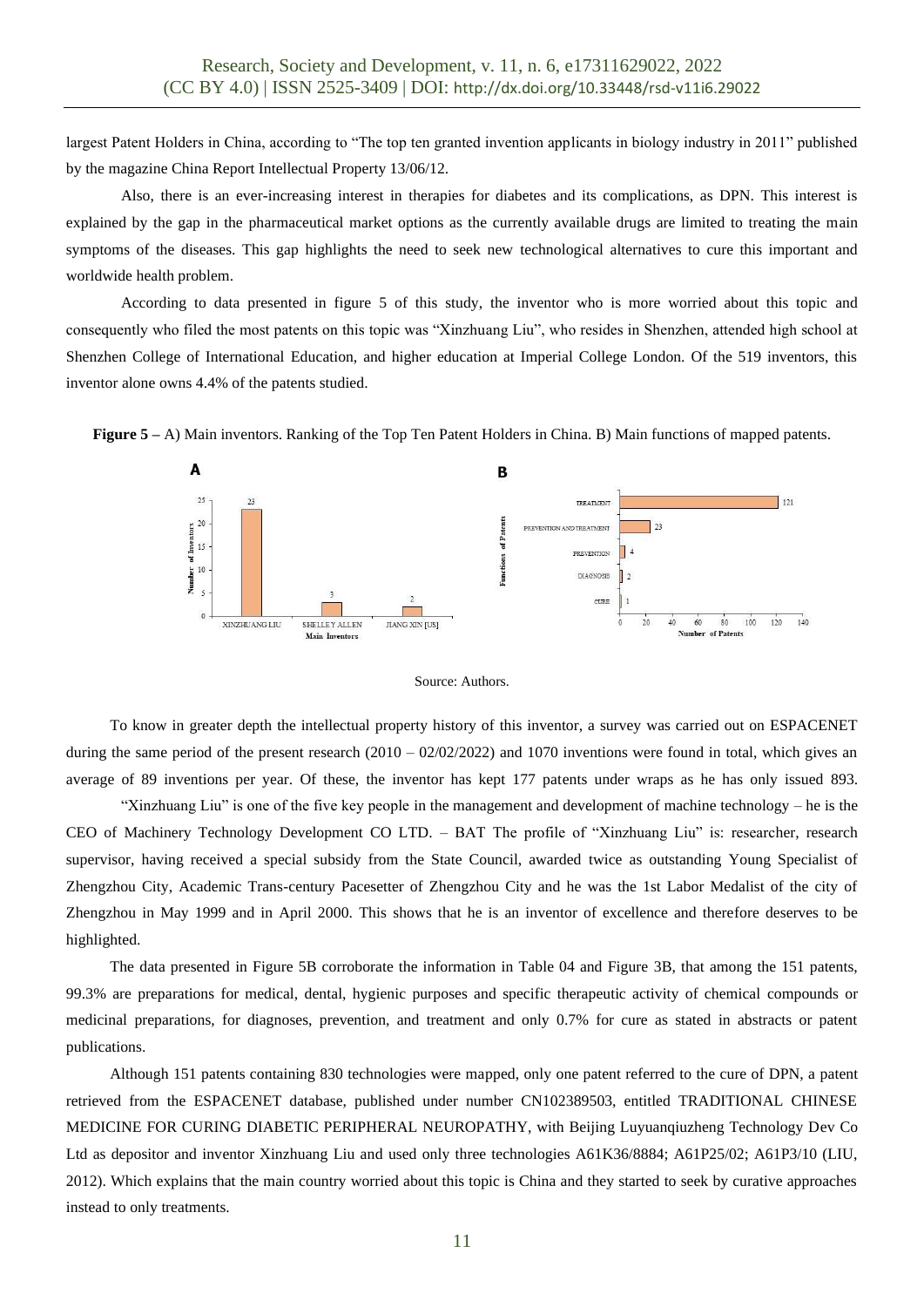largest Patent Holders in China, according to "The top ten granted invention applicants in biology industry in 2011" published by the magazine China Report Intellectual Property 13/06/12.

Also, there is an ever-increasing interest in therapies for diabetes and its complications, as DPN. This interest is explained by the gap in the pharmaceutical market options as the currently available drugs are limited to treating the main symptoms of the diseases. This gap highlights the need to seek new technological alternatives to cure this important and worldwide health problem.

According to data presented in figure 5 of this study, the inventor who is more worried about this topic and consequently who filed the most patents on this topic was "Xinzhuang Liu", who resides in Shenzhen, attended high school at Shenzhen College of International Education, and higher education at Imperial College London. Of the 519 inventors, this inventor alone owns 4.4% of the patents studied.

**Figure 5** – A) Main inventors. Ranking of the Top Ten Patent Holders in China. B) Main functions of mapped patents.





To know in greater depth the intellectual property history of this inventor, a survey was carried out on ESPACENET during the same period of the present research  $(2010 - 02/02/2022)$  and 1070 inventions were found in total, which gives an average of 89 inventions per year. Of these, the inventor has kept 177 patents under wraps as he has only issued 893.

"Xinzhuang Liu" is one of the five key people in the management and development of machine technology – he is the CEO of Machinery Technology Development CO LTD. – BAT The profile of "Xinzhuang Liu" is: researcher, research supervisor, having received a special subsidy from the State Council, awarded twice as outstanding Young Specialist of Zhengzhou City, Academic Trans-century Pacesetter of Zhengzhou City and he was the 1st Labor Medalist of the city of Zhengzhou in May 1999 and in April 2000. This shows that he is an inventor of excellence and therefore deserves to be highlighted.

The data presented in Figure 5B corroborate the information in Table 04 and Figure 3B, that among the 151 patents, 99.3% are preparations for medical, dental, hygienic purposes and specific therapeutic activity of chemical compounds or medicinal preparations, for diagnoses, prevention, and treatment and only 0.7% for cure as stated in abstracts or patent publications.

Although 151 patents containing 830 technologies were mapped, only one patent referred to the cure of DPN, a patent retrieved from the ESPACENET database, published under number CN102389503, entitled TRADITIONAL CHINESE MEDICINE FOR CURING DIABETIC PERIPHERAL NEUROPATHY, with Beijing Luyuanqiuzheng Technology Dev Co Ltd as depositor and inventor Xinzhuang Liu and used only three technologies A61K36/8884; A61P25/02; A61P3/10 (LIU, 2012). Which explains that the main country worried about this topic is China and they started to seek by curative approaches instead to only treatments.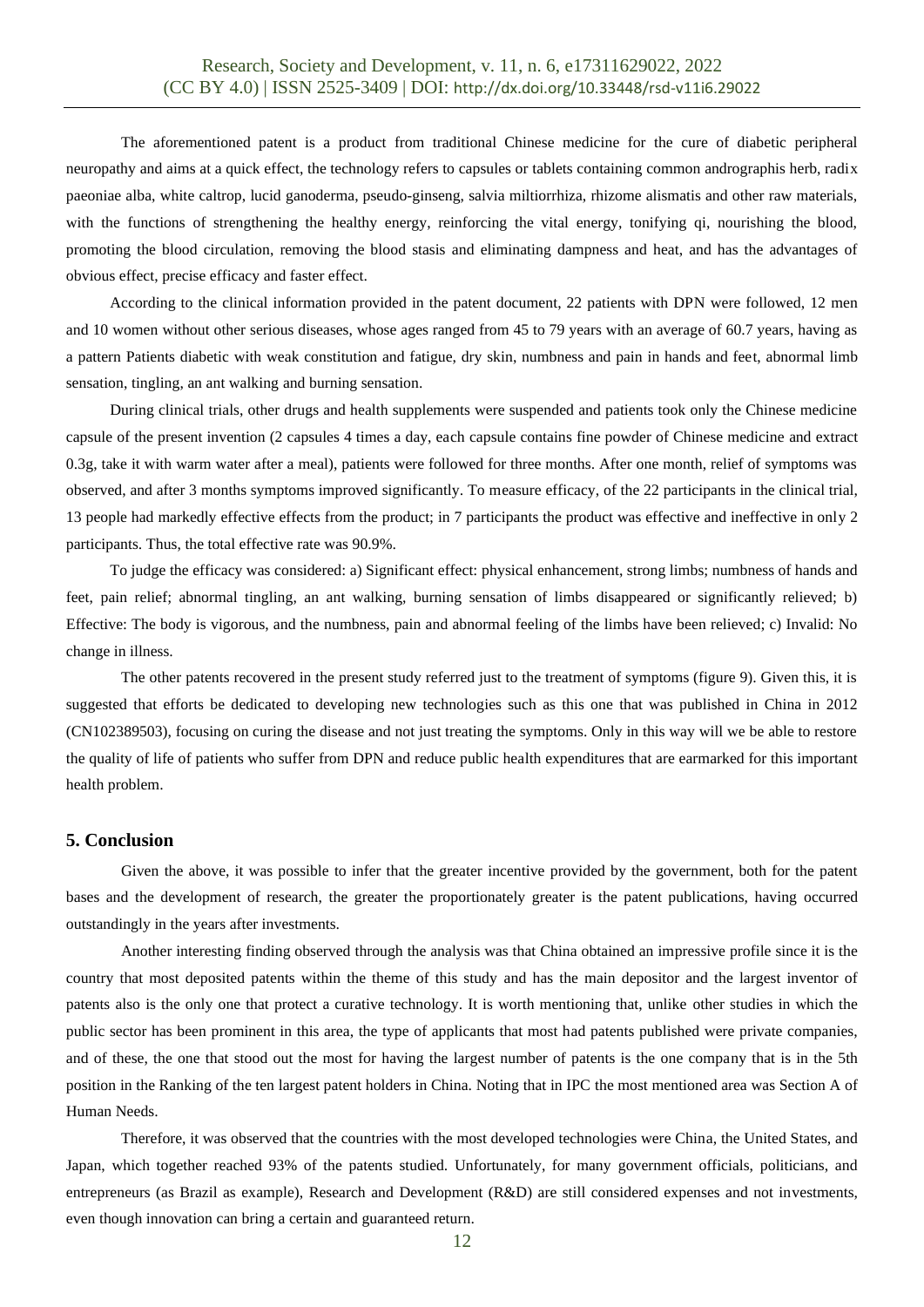The aforementioned patent is a product from traditional Chinese medicine for the cure of diabetic peripheral neuropathy and aims at a quick effect, the technology refers to capsules or tablets containing common andrographis herb, radix paeoniae alba, white caltrop, lucid ganoderma, pseudo-ginseng, salvia miltiorrhiza, rhizome alismatis and other raw materials, with the functions of strengthening the healthy energy, reinforcing the vital energy, tonifying qi, nourishing the blood, promoting the blood circulation, removing the blood stasis and eliminating dampness and heat, and has the advantages of obvious effect, precise efficacy and faster effect.

According to the clinical information provided in the patent document, 22 patients with DPN were followed, 12 men and 10 women without other serious diseases, whose ages ranged from 45 to 79 years with an average of 60.7 years, having as a pattern Patients diabetic with weak constitution and fatigue, dry skin, numbness and pain in hands and feet, abnormal limb sensation, tingling, an ant walking and burning sensation.

During clinical trials, other drugs and health supplements were suspended and patients took only the Chinese medicine capsule of the present invention (2 capsules 4 times a day, each capsule contains fine powder of Chinese medicine and extract 0.3g, take it with warm water after a meal), patients were followed for three months. After one month, relief of symptoms was observed, and after 3 months symptoms improved significantly. To measure efficacy, of the 22 participants in the clinical trial, 13 people had markedly effective effects from the product; in 7 participants the product was effective and ineffective in only 2 participants. Thus, the total effective rate was 90.9%.

To judge the efficacy was considered: a) Significant effect: physical enhancement, strong limbs; numbness of hands and feet, pain relief; abnormal tingling, an ant walking, burning sensation of limbs disappeared or significantly relieved; b) Effective: The body is vigorous, and the numbness, pain and abnormal feeling of the limbs have been relieved; c) Invalid: No change in illness.

The other patents recovered in the present study referred just to the treatment of symptoms (figure 9). Given this, it is suggested that efforts be dedicated to developing new technologies such as this one that was published in China in 2012 (CN102389503), focusing on curing the disease and not just treating the symptoms. Only in this way will we be able to restore the quality of life of patients who suffer from DPN and reduce public health expenditures that are earmarked for this important health problem.

### **5. Conclusion**

Given the above, it was possible to infer that the greater incentive provided by the government, both for the patent bases and the development of research, the greater the proportionately greater is the patent publications, having occurred outstandingly in the years after investments.

Another interesting finding observed through the analysis was that China obtained an impressive profile since it is the country that most deposited patents within the theme of this study and has the main depositor and the largest inventor of patents also is the only one that protect a curative technology. It is worth mentioning that, unlike other studies in which the public sector has been prominent in this area, the type of applicants that most had patents published were private companies, and of these, the one that stood out the most for having the largest number of patents is the one company that is in the 5th position in the Ranking of the ten largest patent holders in China. Noting that in IPC the most mentioned area was Section A of Human Needs.

Therefore, it was observed that the countries with the most developed technologies were China, the United States, and Japan, which together reached 93% of the patents studied. Unfortunately, for many government officials, politicians, and entrepreneurs (as Brazil as example), Research and Development (R&D) are still considered expenses and not investments, even though innovation can bring a certain and guaranteed return.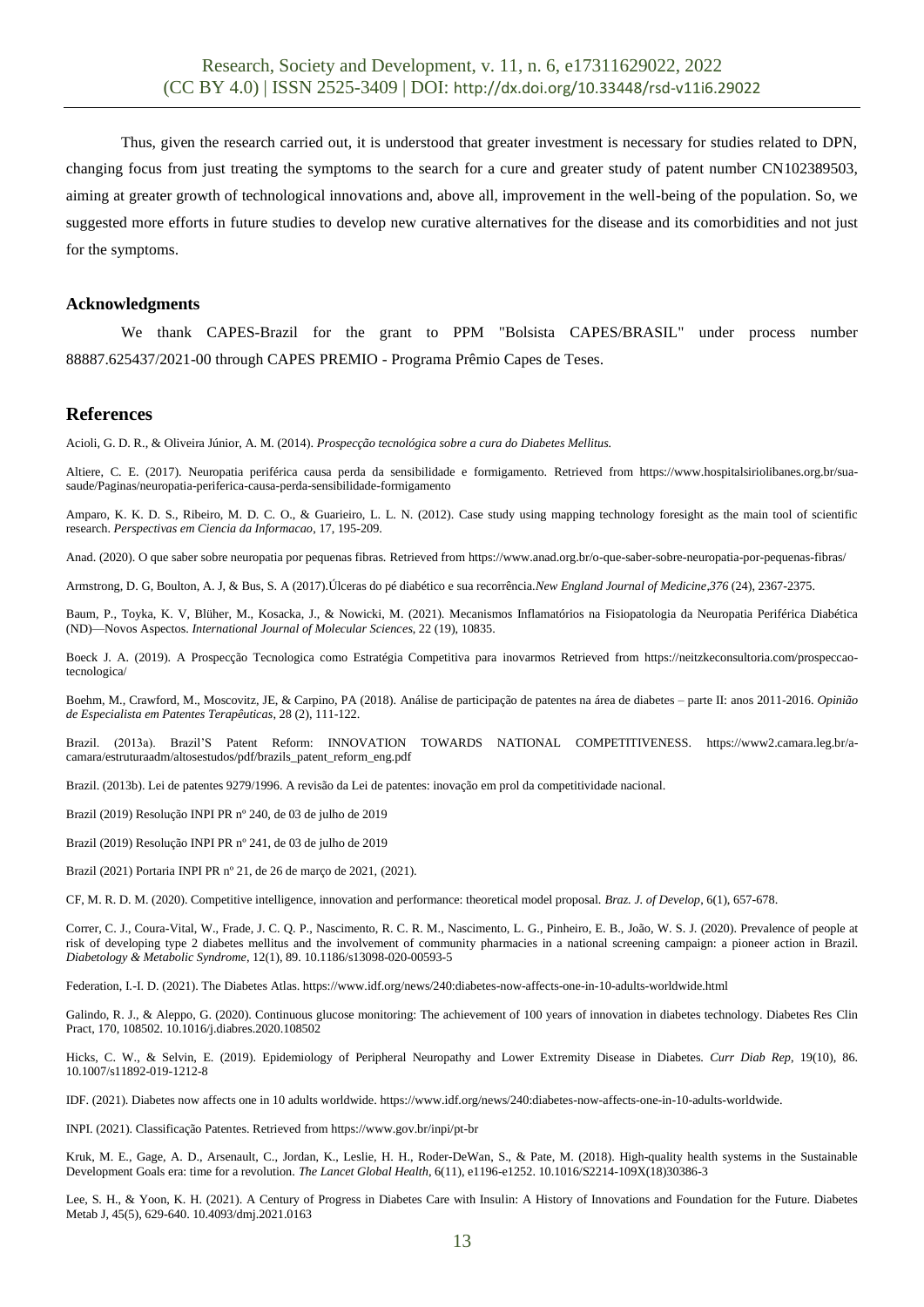Thus, given the research carried out, it is understood that greater investment is necessary for studies related to DPN, changing focus from just treating the symptoms to the search for a cure and greater study of patent number CN102389503, aiming at greater growth of technological innovations and, above all, improvement in the well-being of the population. So, we suggested more efforts in future studies to develop new curative alternatives for the disease and its comorbidities and not just for the symptoms.

#### **Acknowledgments**

We thank CAPES-Brazil for the grant to PPM "Bolsista CAPES/BRASIL" under process number 88887.625437/2021-00 through CAPES PREMIO - Programa Prêmio Capes de Teses.

#### **References**

Acioli, G. D. R., & Oliveira Júnior, A. M. (2014). *Prospecção tecnológica sobre a cura do Diabetes Mellitus.*

Altiere, C. E. (2017). Neuropatia periférica causa perda da sensibilidade e formigamento. Retrieved from https://www.hospitalsiriolibanes.org.br/suasaude/Paginas/neuropatia-periferica-causa-perda-sensibilidade-formigamento

Amparo, K. K. D. S., Ribeiro, M. D. C. O., & Guarieiro, L. L. N. (2012). Case study using mapping technology foresight as the main tool of scientific research. *Perspectivas em Ciencia da Informacao*, 17, 195-209.

Anad. (2020). O que saber sobre neuropatia por pequenas fibras. Retrieved from<https://www.anad.org.br/o-que-saber-sobre-neuropatia-por-pequenas-fibras/>

Armstrong, D. G, Boulton, A. J, & Bus, S. A (2017).Úlceras do pé diabético e sua recorrência.*New England Journal of Medicine*,*376* (24), 2367-2375.

Baum, P., Toyka, K. V, Blüher, M., Kosacka, J., & Nowicki, M. (2021). Mecanismos Inflamatórios na Fisiopatologia da Neuropatia Periférica Diabética (ND)—Novos Aspectos. *International Journal of Molecular Sciences*, 22 (19), 10835.

Boeck J. A. (2019). A Prospecção Tecnologica como Estratégia Competitiva para inovarmos Retrieved from https://neitzkeconsultoria.com/prospeccaotecnologica/

Boehm, M., Crawford, M., Moscovitz, JE, & Carpino, PA (2018). Análise de participação de patentes na área de diabetes – parte II: anos 2011-2016. *Opinião de Especialista em Patentes Terapêuticas*, 28 (2), 111-122.

Brazil. (2013a). Brazil'S Patent Reform: INNOVATION TOWARDS NATIONAL COMPETITIVENESS. [https://www2.camara.leg.br/a](https://www2.camara.leg.br/a-camara/estruturaadm/altosestudos/pdf/brazils_patent_reform_eng.pdf)[camara/estruturaadm/altosestudos/pdf/brazils\\_patent\\_reform\\_eng.pdf](https://www2.camara.leg.br/a-camara/estruturaadm/altosestudos/pdf/brazils_patent_reform_eng.pdf)

Brazil. (2013b). Lei de patentes 9279/1996. A revisão da Lei de patentes: inovação em prol da competitividade nacional.

Brazil (2019) Resolução INPI PR nº 240, de 03 de julho de 2019

Brazil (2019) Resolução INPI PR nº 241, de 03 de julho de 2019

Brazil (2021) Portaria INPI PR nº 21, de 26 de março de 2021, (2021).

CF, M. R. D. M. (2020). Competitive intelligence, innovation and performance: theoretical model proposal. *Braz. J. of Develop*, 6(1), 657-678.

Correr, C. J., Coura-Vital, W., Frade, J. C. Q. P., Nascimento, R. C. R. M., Nascimento, L. G., Pinheiro, E. B., João, W. S. J. (2020). Prevalence of people at risk of developing type 2 diabetes mellitus and the involvement of community pharmacies in a national screening campaign: a pioneer action in Brazil. *Diabetology & Metabolic Syndrome*, 12(1), 89. 10.1186/s13098-020-00593-5

Federation, I.-I. D. (2021). The Diabetes Atlas. https://www.idf.org/news/240:diabetes-now-affects-one-in-10-adults-worldwide.html

Galindo, R. J., & Aleppo, G. (2020). Continuous glucose monitoring: The achievement of 100 years of innovation in diabetes technology. Diabetes Res Clin Pract, 170, 108502. 10.1016/j.diabres.2020.108502

Hicks, C. W., & Selvin, E. (2019). Epidemiology of Peripheral Neuropathy and Lower Extremity Disease in Diabetes. *Curr Diab Rep*, 19(10), 86. 10.1007/s11892-019-1212-8

IDF. (2021). Diabetes now affects one in 10 adults worldwide. https://www.idf.org/news/240:diabetes-now-affects-one-in-10-adults-worldwide.

INPI. (2021). Classificação Patentes. Retrieved from https://www.gov.br/inpi/pt-br

Kruk, M. E., Gage, A. D., Arsenault, C., Jordan, K., Leslie, H. H., Roder-DeWan, S., & Pate, M. (2018). High-quality health systems in the Sustainable Development Goals era: time for a revolution. *The Lancet Global Health*, 6(11), e1196-e1252. 10.1016/S2214-109X(18)30386-3

Lee, S. H., & Yoon, K. H. (2021). A Century of Progress in Diabetes Care with Insulin: A History of Innovations and Foundation for the Future. Diabetes Metab J, 45(5), 629-640. 10.4093/dmj.2021.0163